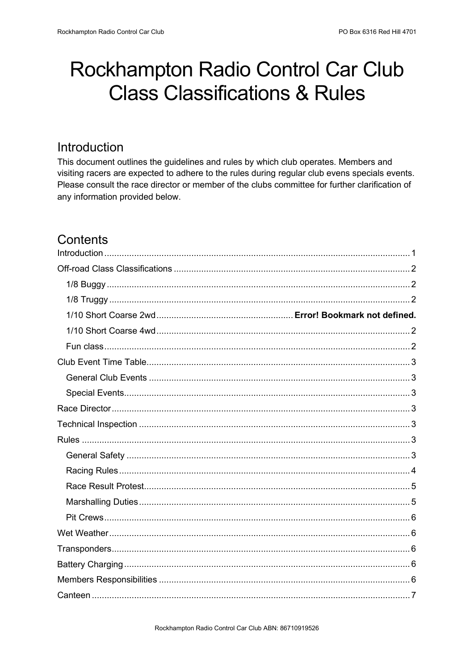# Rockhampton Radio Control Car Club **Class Classifications & Rules**

### <span id="page-0-0"></span>Introduction

This document outlines the guidelines and rules by which club operates. Members and visiting racers are expected to adhere to the rules during regular club evens specials events. Please consult the race director or member of the clubs committee for further clarification of any information provided below.

# Contents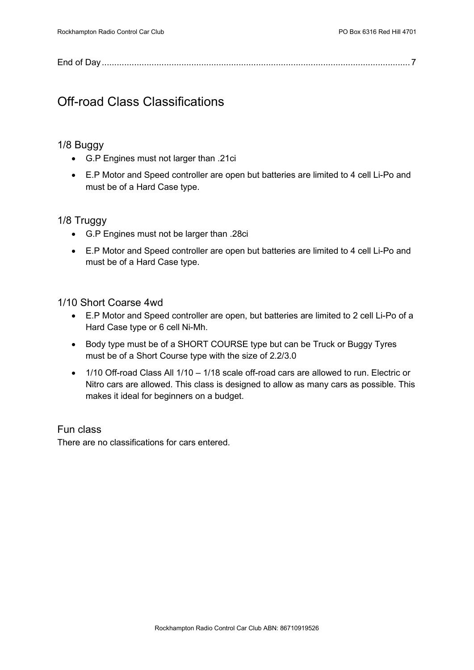|--|

# <span id="page-1-0"></span>Off-road Class Classifications

#### <span id="page-1-1"></span>1/8 Buggy

- G.P Engines must not larger than .21ci
- E.P Motor and Speed controller are open but batteries are limited to 4 cell Li-Po and must be of a Hard Case type.

#### <span id="page-1-2"></span>1/8 Truggy

- G.P Engines must not be larger than .28ci
- E.P Motor and Speed controller are open but batteries are limited to 4 cell Li-Po and must be of a Hard Case type.

#### <span id="page-1-3"></span>1/10 Short Coarse 4wd

- E.P Motor and Speed controller are open, but batteries are limited to 2 cell Li-Po of a Hard Case type or 6 cell Ni-Mh.
- Body type must be of a SHORT COURSE type but can be Truck or Buggy Tyres must be of a Short Course type with the size of 2.2/3.0
- 1/10 Off-road Class All 1/10 1/18 scale off-road cars are allowed to run. Electric or Nitro cars are allowed. This class is designed to allow as many cars as possible. This makes it ideal for beginners on a budget.

#### <span id="page-1-4"></span>Fun class

There are no classifications for cars entered.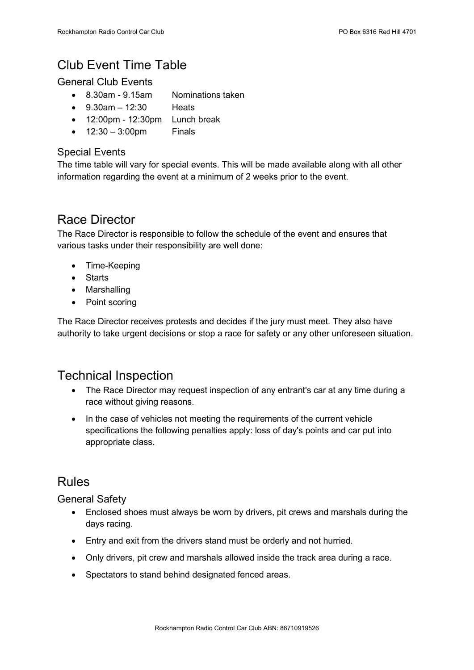# <span id="page-2-0"></span>Club Event Time Table

### <span id="page-2-1"></span>General Club Events

- 8.30am 9.15am Nominations taken
- $9.30$ am 12:30 Heats
- 12:00pm 12:30pm Lunch break
- $12:30 3:00$ pm Finals

### <span id="page-2-2"></span>Special Events

The time table will vary for special events. This will be made available along with all other information regarding the event at a minimum of 2 weeks prior to the event.

### <span id="page-2-3"></span>Race Director

The Race Director is responsible to follow the schedule of the event and ensures that various tasks under their responsibility are well done:

- Time-Keeping
- Starts
- Marshalling
- Point scoring

The Race Director receives protests and decides if the jury must meet. They also have authority to take urgent decisions or stop a race for safety or any other unforeseen situation.

### <span id="page-2-4"></span>Technical Inspection

- The Race Director may request inspection of any entrant's car at any time during a race without giving reasons.
- In the case of vehicles not meeting the requirements of the current vehicle specifications the following penalties apply: loss of day's points and car put into appropriate class.

### <span id="page-2-5"></span>Rules

<span id="page-2-6"></span>General Safety

- Enclosed shoes must always be worn by drivers, pit crews and marshals during the days racing.
- Entry and exit from the drivers stand must be orderly and not hurried.
- Only drivers, pit crew and marshals allowed inside the track area during a race.
- Spectators to stand behind designated fenced areas.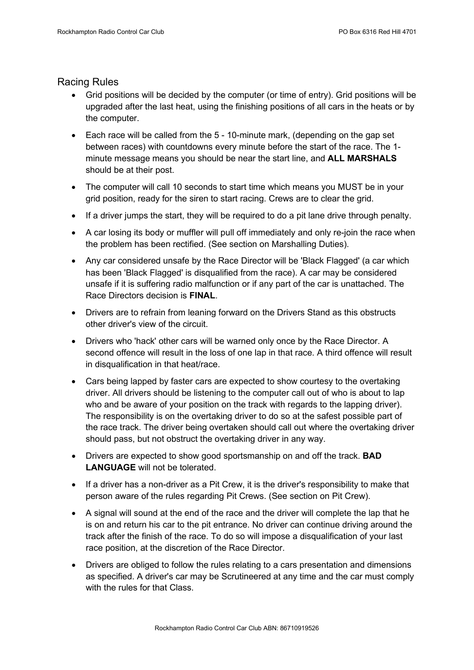#### <span id="page-3-0"></span>Racing Rules

- Grid positions will be decided by the computer (or time of entry). Grid positions will be upgraded after the last heat, using the finishing positions of all cars in the heats or by the computer.
- Each race will be called from the 5 10-minute mark, (depending on the gap set between races) with countdowns every minute before the start of the race. The 1 minute message means you should be near the start line, and **ALL MARSHALS** should be at their post.
- The computer will call 10 seconds to start time which means you MUST be in your grid position, ready for the siren to start racing. Crews are to clear the grid.
- If a driver jumps the start, they will be required to do a pit lane drive through penalty.
- A car losing its body or muffler will pull off immediately and only re-join the race when the problem has been rectified. (See section on Marshalling Duties).
- Any car considered unsafe by the Race Director will be 'Black Flagged' (a car which has been 'Black Flagged' is disqualified from the race). A car may be considered unsafe if it is suffering radio malfunction or if any part of the car is unattached. The Race Directors decision is **FINAL**.
- Drivers are to refrain from leaning forward on the Drivers Stand as this obstructs other driver's view of the circuit.
- Drivers who 'hack' other cars will be warned only once by the Race Director. A second offence will result in the loss of one lap in that race. A third offence will result in disqualification in that heat/race.
- Cars being lapped by faster cars are expected to show courtesy to the overtaking driver. All drivers should be listening to the computer call out of who is about to lap who and be aware of your position on the track with regards to the lapping driver). The responsibility is on the overtaking driver to do so at the safest possible part of the race track. The driver being overtaken should call out where the overtaking driver should pass, but not obstruct the overtaking driver in any way.
- Drivers are expected to show good sportsmanship on and off the track. **BAD LANGUAGE** will not be tolerated.
- If a driver has a non-driver as a Pit Crew, it is the driver's responsibility to make that person aware of the rules regarding Pit Crews. (See section on Pit Crew).
- A signal will sound at the end of the race and the driver will complete the lap that he is on and return his car to the pit entrance. No driver can continue driving around the track after the finish of the race. To do so will impose a disqualification of your last race position, at the discretion of the Race Director.
- Drivers are obliged to follow the rules relating to a cars presentation and dimensions as specified. A driver's car may be Scrutineered at any time and the car must comply with the rules for that Class.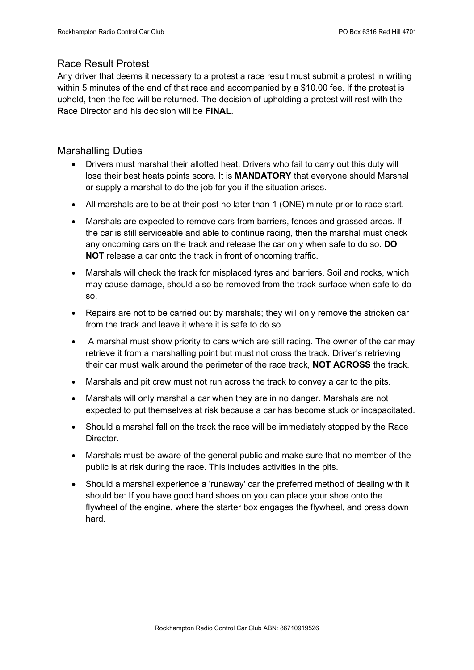### <span id="page-4-0"></span>Race Result Protest

Any driver that deems it necessary to a protest a race result must submit a protest in writing within 5 minutes of the end of that race and accompanied by a \$10.00 fee. If the protest is upheld, then the fee will be returned. The decision of upholding a protest will rest with the Race Director and his decision will be **FINAL**.

#### <span id="page-4-1"></span>Marshalling Duties

- Drivers must marshal their allotted heat. Drivers who fail to carry out this duty will lose their best heats points score. It is **MANDATORY** that everyone should Marshal or supply a marshal to do the job for you if the situation arises.
- All marshals are to be at their post no later than 1 (ONE) minute prior to race start.
- Marshals are expected to remove cars from barriers, fences and grassed areas. If the car is still serviceable and able to continue racing, then the marshal must check any oncoming cars on the track and release the car only when safe to do so. **DO NOT** release a car onto the track in front of oncoming traffic.
- Marshals will check the track for misplaced tyres and barriers. Soil and rocks, which may cause damage, should also be removed from the track surface when safe to do so.
- Repairs are not to be carried out by marshals; they will only remove the stricken car from the track and leave it where it is safe to do so.
- A marshal must show priority to cars which are still racing. The owner of the car may retrieve it from a marshalling point but must not cross the track. Driver's retrieving their car must walk around the perimeter of the race track, **NOT ACROSS** the track.
- Marshals and pit crew must not run across the track to convey a car to the pits.
- Marshals will only marshal a car when they are in no danger. Marshals are not expected to put themselves at risk because a car has become stuck or incapacitated.
- Should a marshal fall on the track the race will be immediately stopped by the Race Director.
- Marshals must be aware of the general public and make sure that no member of the public is at risk during the race. This includes activities in the pits.
- Should a marshal experience a 'runaway' car the preferred method of dealing with it should be: If you have good hard shoes on you can place your shoe onto the flywheel of the engine, where the starter box engages the flywheel, and press down hard.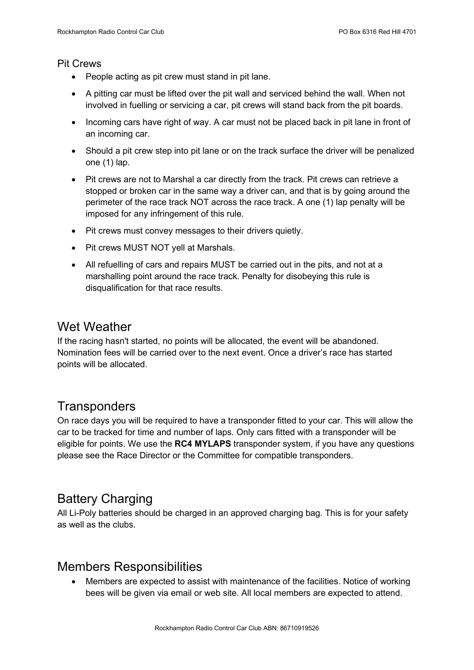#### <span id="page-5-0"></span>Pit Crews

- People acting as pit crew must stand in pit lane.
- A pitting car must be lifted over the pit wall and serviced behind the wall. When not involved in fuelling or servicing a car, pit crews will stand back from the pit boards.
- Incoming cars have right of way. A car must not be placed back in pit lane in front of an incoming car.
- Should a pit crew step into pit lane or on the track surface the driver will be penalized one (1) lap.
- Pit crews are not to Marshal a car directly from the track. Pit crews can retrieve a stopped or broken car in the same way a driver can, and that is by going around the perimeter of the race track NOT across the race track. A one (1) lap penalty will be imposed for any infringement of this rule.
- Pit crews must convey messages to their drivers quietly.
- Pit crews MUST NOT yell at Marshals.
- All refuelling of cars and repairs MUST be carried out in the pits, and not at a marshalling point around the race track. Penalty for disobeying this rule is disqualification for that race results.

### <span id="page-5-1"></span>Wet Weather

If the racing hasn't started, no points will be allocated, the event will be abandoned. Nomination fees will be carried over to the next event. Once a driver's race has started points will be allocated.

### <span id="page-5-2"></span>**Transponders**

On race days you will be required to have a transponder fitted to your car. This will allow the car to be tracked for time and number of laps. Only cars fitted with a transponder will be eligible for points. We use the **RC4 MYLAPS** transponder system, if you have any questions please see the Race Director or the Committee for compatible transponders.

## <span id="page-5-3"></span>Battery Charging

All Li-Poly batteries should be charged in an approved charging bag. This is for your safety as well as the clubs.

### <span id="page-5-4"></span>Members Responsibilities

• Members are expected to assist with maintenance of the facilities. Notice of working bees will be given via email or web site. All local members are expected to attend.